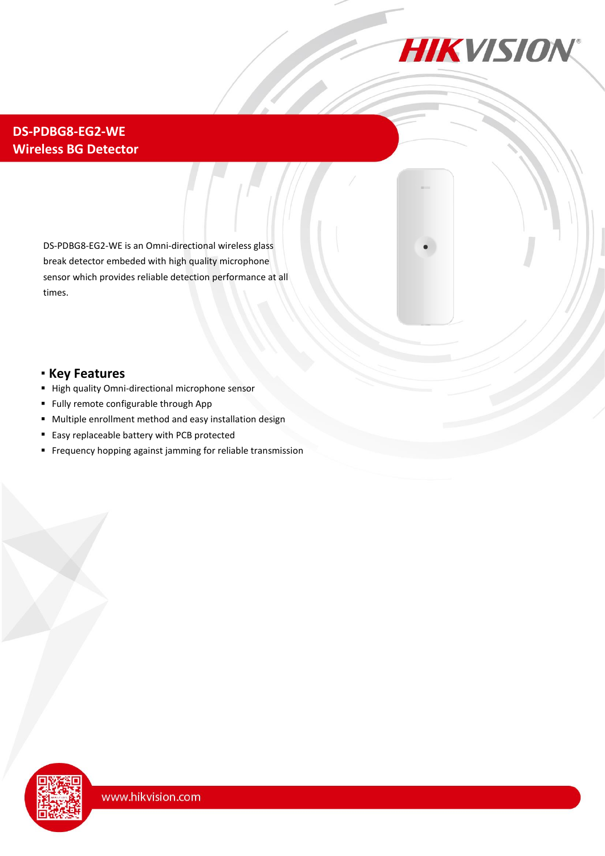

## **DS-PDBG8-EG2-WE Wireless BG Detector**

DS-PDBG8-EG2-WE is an Omni-directional wireless glass break detector embeded with high quality microphone sensor which provides reliable detection performance at all times.

#### **Key Features**

- High quality Omni-directional microphone sensor
- Fully remote configurable through App
- Multiple enrollment method and easy installation design
- **Easy replaceable battery with PCB protected**
- Frequency hopping against jamming for reliable transmission

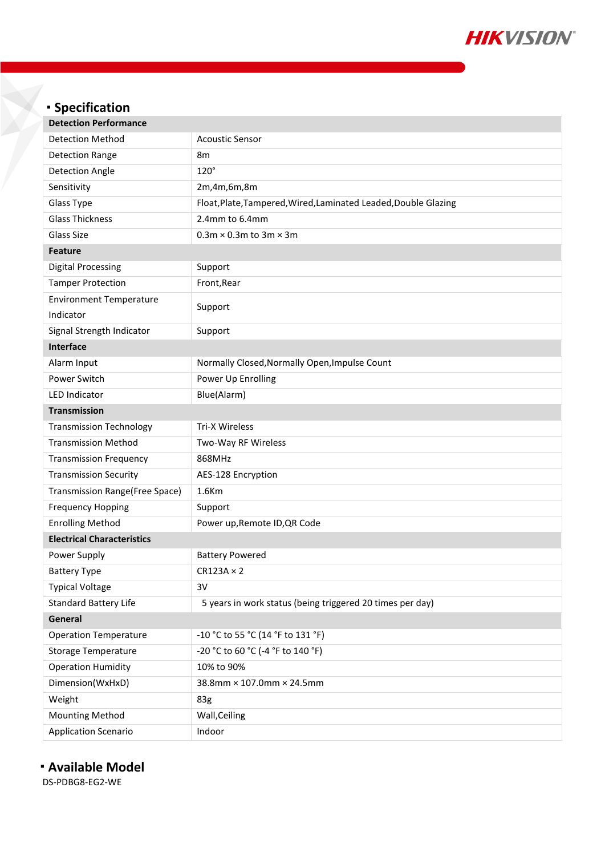

| <b>Specification</b>              |                                                                 |
|-----------------------------------|-----------------------------------------------------------------|
| <b>Detection Performance</b>      |                                                                 |
| <b>Detection Method</b>           | <b>Acoustic Sensor</b>                                          |
| <b>Detection Range</b>            | 8m                                                              |
| <b>Detection Angle</b>            | $120^\circ$                                                     |
| Sensitivity                       | 2m,4m,6m,8m                                                     |
| Glass Type                        | Float, Plate, Tampered, Wired, Laminated Leaded, Double Glazing |
| <b>Glass Thickness</b>            | 2.4mm to 6.4mm                                                  |
| Glass Size                        | $0.3$ m $\times$ 0.3m to 3m $\times$ 3m                         |
| <b>Feature</b>                    |                                                                 |
| <b>Digital Processing</b>         | Support                                                         |
| <b>Tamper Protection</b>          | Front, Rear                                                     |
| <b>Environment Temperature</b>    |                                                                 |
| Indicator                         | Support                                                         |
| Signal Strength Indicator         | Support                                                         |
| <b>Interface</b>                  |                                                                 |
| Alarm Input                       | Normally Closed, Normally Open, Impulse Count                   |
| Power Switch                      | Power Up Enrolling                                              |
| <b>LED Indicator</b>              | Blue(Alarm)                                                     |
| <b>Transmission</b>               |                                                                 |
| <b>Transmission Technology</b>    | <b>Tri-X Wireless</b>                                           |
| <b>Transmission Method</b>        | Two-Way RF Wireless                                             |
| <b>Transmission Frequency</b>     | 868MHz                                                          |
| <b>Transmission Security</b>      | AES-128 Encryption                                              |
| Transmission Range(Free Space)    | 1.6Km                                                           |
| <b>Frequency Hopping</b>          | Support                                                         |
| <b>Enrolling Method</b>           | Power up, Remote ID, QR Code                                    |
| <b>Electrical Characteristics</b> |                                                                 |
| Power Supply                      | <b>Battery Powered</b>                                          |
| <b>Battery Type</b>               | $CR123A \times 2$                                               |
| <b>Typical Voltage</b>            | 3V                                                              |
| <b>Standard Battery Life</b>      | 5 years in work status (being triggered 20 times per day)       |
| General                           |                                                                 |
| <b>Operation Temperature</b>      | -10 °C to 55 °C (14 °F to 131 °F)                               |
| <b>Storage Temperature</b>        | -20 °C to 60 °C (-4 °F to 140 °F)                               |
| <b>Operation Humidity</b>         | 10% to 90%                                                      |
| Dimension(WxHxD)                  | 38.8mm × 107.0mm × 24.5mm                                       |
| Weight                            | 83g                                                             |
| <b>Mounting Method</b>            | Wall, Ceiling                                                   |

### **Available Model**

Application Scenario **Indoor** 

DS-PDBG8-EG2-WE